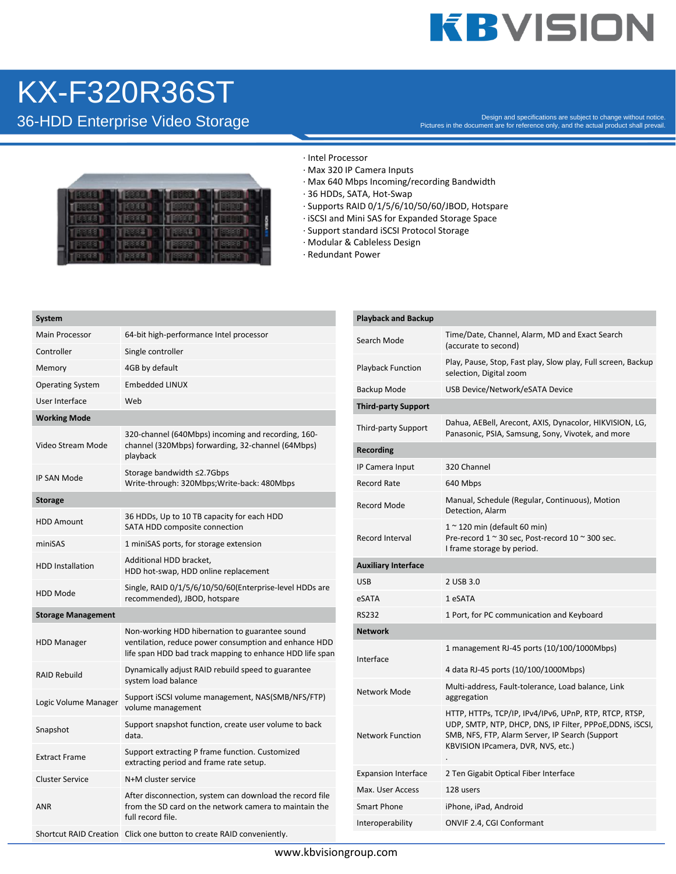## **KBVISION**

### KX-F320R36ST

Besign and specifications are subject to change without notice.<br>Pictures in the document are for reference only, and the actual product shall prevail.



#### · Intel Processor

- · Max 320 IP Camera Inputs
- · Max 640 Mbps Incoming/recording Bandwidth
- · 36 HDDs, SATA, Hot-Swap
- · Supports RAID 0/1/5/6/10/50/60/JBOD, Hotspare
- · iSCSI and Mini SAS for Expanded Storage Space
- · Support standard iSCSI Protocol Storage
- · Modular & Cableless Design
- · Redundant Power

| System                    |                                                                                                                                                                     |  |  |  |
|---------------------------|---------------------------------------------------------------------------------------------------------------------------------------------------------------------|--|--|--|
| <b>Main Processor</b>     | 64-bit high-performance Intel processor                                                                                                                             |  |  |  |
| Controller                | Single controller                                                                                                                                                   |  |  |  |
| Memory                    | 4GB by default                                                                                                                                                      |  |  |  |
| <b>Operating System</b>   | <b>Embedded LINUX</b>                                                                                                                                               |  |  |  |
| User Interface            | Web                                                                                                                                                                 |  |  |  |
| <b>Working Mode</b>       |                                                                                                                                                                     |  |  |  |
| Video Stream Mode         | 320-channel (640Mbps) incoming and recording, 160-<br>channel (320Mbps) forwarding, 32-channel (64Mbps)<br>playback                                                 |  |  |  |
| IP SAN Mode               | Storage bandwidth ≤2.7Gbps<br>Write-through: 320Mbps;Write-back: 480Mbps                                                                                            |  |  |  |
| Storage                   |                                                                                                                                                                     |  |  |  |
| <b>HDD Amount</b>         | 36 HDDs, Up to 10 TB capacity for each HDD<br>SATA HDD composite connection                                                                                         |  |  |  |
| miniSAS                   | 1 miniSAS ports, for storage extension                                                                                                                              |  |  |  |
| <b>HDD Installation</b>   | Additional HDD bracket,<br>HDD hot-swap, HDD online replacement                                                                                                     |  |  |  |
| <b>HDD Mode</b>           | Single, RAID 0/1/5/6/10/50/60(Enterprise-level HDDs are<br>recommended), JBOD, hotspare                                                                             |  |  |  |
| <b>Storage Management</b> |                                                                                                                                                                     |  |  |  |
| <b>HDD Manager</b>        | Non-working HDD hibernation to guarantee sound<br>ventilation, reduce power consumption and enhance HDD<br>life span HDD bad track mapping to enhance HDD life span |  |  |  |
| <b>RAID Rebuild</b>       | Dynamically adjust RAID rebuild speed to guarantee<br>system load balance                                                                                           |  |  |  |
| Logic Volume Manager      | Support iSCSI volume management, NAS(SMB/NFS/FTP)<br>volume management                                                                                              |  |  |  |
| Snapshot                  | Support snapshot function, create user volume to back<br>data.                                                                                                      |  |  |  |
| <b>Extract Frame</b>      | Support extracting P frame function. Customized<br>extracting period and frame rate setup.                                                                          |  |  |  |
| <b>Cluster Service</b>    | N+M cluster service                                                                                                                                                 |  |  |  |
| <b>ANR</b>                | After disconnection, system can download the record file<br>from the SD card on the network camera to maintain the<br>full record file.                             |  |  |  |
|                           | Shortcut RAID Creation Click one button to create RAID conveniently.                                                                                                |  |  |  |

| <b>Playback and Backup</b> |                                                                                                                                                                                                             |
|----------------------------|-------------------------------------------------------------------------------------------------------------------------------------------------------------------------------------------------------------|
| Search Mode                | Time/Date, Channel, Alarm, MD and Exact Search<br>(accurate to second)                                                                                                                                      |
| <b>Playback Function</b>   | Play, Pause, Stop, Fast play, Slow play, Full screen, Backup<br>selection, Digital zoom                                                                                                                     |
| Backup Mode                | USB Device/Network/eSATA Device                                                                                                                                                                             |
| <b>Third-party Support</b> |                                                                                                                                                                                                             |
| Third-party Support        | Dahua, AEBell, Arecont, AXIS, Dynacolor, HIKVISION, LG,<br>Panasonic, PSIA, Samsung, Sony, Vivotek, and more                                                                                                |
| Recording                  |                                                                                                                                                                                                             |
| IP Camera Input            | 320 Channel                                                                                                                                                                                                 |
| <b>Record Rate</b>         | 640 Mbps                                                                                                                                                                                                    |
| Record Mode                | Manual, Schedule (Regular, Continuous), Motion<br>Detection, Alarm                                                                                                                                          |
| Record Interval            | $1 \sim 120$ min (default 60 min)<br>Pre-record 1 ~ 30 sec, Post-record 10 ~ 300 sec.<br>I frame storage by period.                                                                                         |
| <b>Auxiliary Interface</b> |                                                                                                                                                                                                             |
| USB                        | 2 USB 3.0                                                                                                                                                                                                   |
| eSATA                      | 1 eSATA                                                                                                                                                                                                     |
| <b>RS232</b>               | 1 Port, for PC communication and Keyboard                                                                                                                                                                   |
| <b>Network</b>             |                                                                                                                                                                                                             |
| Interface                  | 1 management RJ-45 ports (10/100/1000Mbps)                                                                                                                                                                  |
|                            | 4 data RJ-45 ports (10/100/1000Mbps)                                                                                                                                                                        |
| Network Mode               | Multi-address, Fault-tolerance, Load balance, Link<br>aggregation                                                                                                                                           |
| <b>Network Function</b>    | HTTP, HTTPs, TCP/IP, IPv4/IPv6, UPnP, RTP, RTCP, RTSP,<br>UDP, SMTP, NTP, DHCP, DNS, IP Filter, PPPoE,DDNS, iSCSI,<br>SMB, NFS, FTP, Alarm Server, IP Search (Support<br>KBVISION IPcamera, DVR, NVS, etc.) |
| <b>Expansion Interface</b> | 2 Ten Gigabit Optical Fiber Interface                                                                                                                                                                       |
| Max. User Access           | 128 users                                                                                                                                                                                                   |
| Smart Phone                | iPhone, iPad, Android                                                                                                                                                                                       |
| Interoperability           | ONVIF 2.4, CGI Conformant                                                                                                                                                                                   |